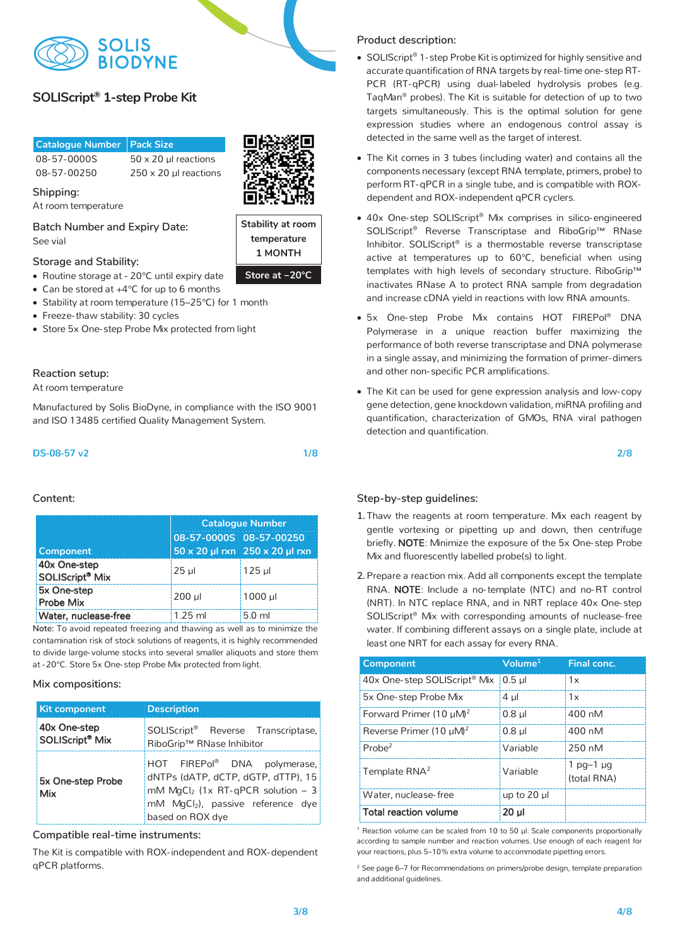

# **SolisFAST™ SolisGreen® qPCR Mix (no ROX), 5X SOLIScript® 1-step Probe Kit**

| <b>Catalogue Number Pack Size</b> |                              |
|-----------------------------------|------------------------------|
| 08-57-0000S                       | $50 \times 20$ ul reactions  |
| 08-57-00250                       | $250 \times 20$ µl reactions |

Shipping: *Shipping:* 

At room temperature

**Shipping: Batch Number and Expiry Date:**  See vial

# **Batch Number and Expiry Date: Storage and Stability:**

- Routine storage at 20°C until expiry date
- Can be stored at +4<sup>°</sup>C for up to 6 months
- Stability at room temperature (15–25 $^{\circ}$ C) for 1 month
- $\bullet$  Freeze-thaw stability. So cycles • Freeze-thaw stability: 30 cycles
- $\bullet~$  Store 5x One-step Probe Mix protected from light

# **Reaction setup: Reaction setup:**

At room temperature At room temperature

Manufactured by Solis BioDyne, in compliance with the ISO 9001 Manufactured by Solis BioDyne, in compliance with the ISO 9001 and ISO 13485 certified Quality Management System. and ISO 13485 certified Quality Management System.

### DS-08-57 v2 1/8

**Step-by-step:** 

|                                             | <b>Catalogue Number</b> |                                |  |
|---------------------------------------------|-------------------------|--------------------------------|--|
|                                             |                         | 08-57-0000S 08-57-00250        |  |
| Component                                   |                         | 50 x 20 µl rxn 250 x 20 µl rxn |  |
| 40x One-step<br>SOLIScript <sup>®</sup> Mix | 25 ul                   | 125 ul                         |  |
| 5x One-step<br>Probe Mix                    | 200 ul                  | 1000 ul                        |  |
| Water, nuclease-free                        | $1.25$ ml               | 5.0 <sub>m</sub>               |  |

**To All 1X 2011 (1X) (1X) 18 µl 1X 1X) 4 µl 1X 1X 14 Note:** To avoid repeated freezing and thawing as well as to minimize the contamination risk of stock solutions of reagents, it is highly recommended at -20°C. Store 5x One-step Probe Mix protected from light. to divide large- volume stocks into several smaller aliquots and store them

# $Mix$  compositions:

| <b>Kit component</b>                        | <b>Description</b>                                                                                                                                                          |  |  |
|---------------------------------------------|-----------------------------------------------------------------------------------------------------------------------------------------------------------------------------|--|--|
| 40x One-step<br>SOLIScript <sup>®</sup> Mix | SOLIScript <sup>®</sup> Reverse Transcriptase,<br>RiboGrip™ RNase Inhibitor                                                                                                 |  |  |
| 5x One-step Probe<br>Mix                    | HOT FIREPol® DNA polymerase,<br>dNTPs (dATP, dCTP, dGTP, dTTP), 15<br>mM MgCl <sub>2</sub> (1x RT-gPCR solution - 3<br>mM MgCl2), passive reference dye<br>based on ROX dye |  |  |

## $\emph{Computible real-time instruments:}$

The Kit is compatible with ROX-independent and ROX-dependent qPCR platforms.

### **Product description: Product description:**

- SOLIScript® 1-step Probe Kit is optimized for highly sensitive and accurate quantification of RNA targets by real-time one-step RT-PCR (RT-qPCR) using dual-labeled hydrolysis probes (e.g. taqually precess, the mix contains to except propose the mix components of the contact primers. expression studies where an endogenous control assay is TaqMan® probes). The Kit is suitable for detection of up to two detected in the same well as the target of interest.
- **•** The Kit comes in 3 tubes (including water) and contains all the components necessary rexcept model template, primers, probe<sub>r</sub> to perform RT-qPCR in a single tube, and is compatible with ROXdependent and ROX-independent qPCR cyclers. In the Kit comes in 5 tables (including water) and contains an the components necessary (except RNA template, primers, probe) to perform RT-qPCR in a single tube, and is compatible with ROX-
- 40x One-step SOLIScript<sup>®</sup> Mix comprises in silico-engineered active at temperatures up to 60°C, beneficial when using SOLIScript® Reverse Transcriptase and RiboGrip™ RNase Inhibitor. SOLIScript® is a thermostable reverse transcriptase templates with high levels of secondary structure. RiboGrip™ **Fluorescent diverse A** to protect RNA sample from degradation and increase cDNA yield in reactions with low RNA amounts.
- **•** 5x One-step Probe Mix contains HOT FIREPol® DNA Polymerase in a unique reaction buffer maximizing the performance of both reverse transcriptase and DNA polymerase performance of both reverse transcriptase and DNA polymerase<br>in a single assay, and minimizing the formation of primer-dimers and other non- specific PCR amplifications.
- The Kit can be used for gene expression analysis and low- copy gene detection, gene knockdown validation, miRNA profiling and quantification, characterization of GMOs, RNA viral pathogen detection and quantification.

2/8 2/8

### $Step-by-step$  guidelines:

- 1. Thaw the reagents at room temperature. Mix each reagent by gentle vortexing or pipetting up and down, then centrifuge Mix and fluorescently labelled probe(s) to light. briefly. **NOTE**: Minimize the exposure of the 5x One-step Probe
- 2. Prepare a reaction mix. Add all components except the template RNA. NOTE: Include a no-template (NTC) and no-RT control (NRT). In NTC replace RNA, and in NRT replace 40x One-step SOLIScript® Mix with corresponding amounts of nuclease-free water. If combining different assays on a single plate, include at least one NRT for each assay for every RNA.

| <b>Component</b>                         | Volume <sup>1</sup> | Final conc.                   |
|------------------------------------------|---------------------|-------------------------------|
| 40x One-step SOLIScript <sup>®</sup> Mix | $0.5$ $\mu$         | 1x                            |
| 5x One-step Probe Mix                    | 4 ul                | 1x                            |
| Forward Primer (10 uM) <sup>2</sup>      | $0.8$ $\mu$         | 400 nM                        |
| Reverse Primer (10 µM) <sup>2</sup>      | $0.8$ ul            | 400 nM                        |
| Probe <sup>2</sup>                       | Variable            | 250 nM                        |
| Template RNA <sup>2</sup>                | Variable            | $1$ pq $-1$ µq<br>(total RNA) |
| Water, nuclease-free                     | up to $20$ µ        |                               |
| <b>Total reaction volume</b>             | 20 ul               |                               |

<sup>1</sup> Reaction volume can be scaled from 10 to 50 µl. Scale components proportionally according to sample number and reaction volumes. Use enough of each reagent for your reactions, plus 5–10% extra volume to accommodate pipetting errors.

 $2$  See page 6–7 for Recommendations on primers/probe design, template preparation and additional guidelines.

# **Stability at room 1 MONTHtemperature Store at −20°C 1 MONTH**

**Store at -20 °C Stability at room** 

**temperature**